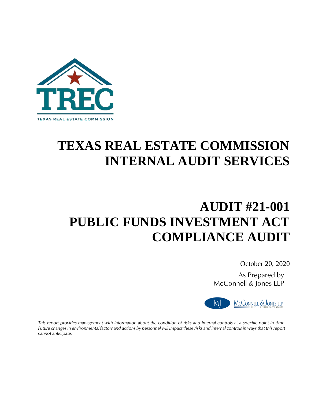

# **TEXAS REAL ESTATE COMMISSION INTERNAL AUDIT SERVICES**

# **AUDIT #21-001 PUBLIC FUNDS INVESTMENT ACT COMPLIANCE AUDIT**

October 20, 2020

As Prepared by McConnell & Jones LLP



*This report provides management with information about the condition of risks and internal controls at a specific point in time. Future changes in environmental factors and actions by personnel will impact these risks and internal controls in ways that this report cannot anticipate.*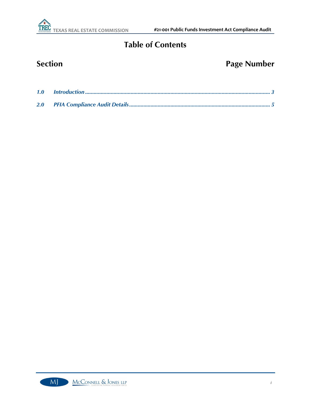

### **Table of Contents**

## **Section Page Number**

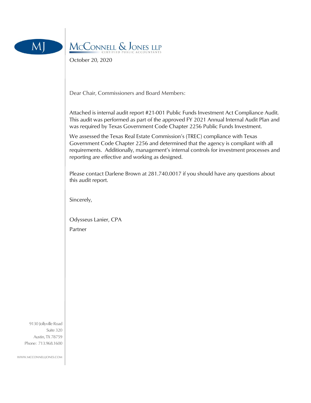



October 20, 2020

Dear Chair, Commissioners and Board Members:

Attached is internal audit report #21-001 Public Funds Investment Act Compliance Audit. This audit was performed as part of the approved FY 2021 Annual Internal Audit Plan and was required by Texas Government Code Chapter 2256 Public Funds Investment.

We assessed the Texas Real Estate Commission's (TREC) compliance with Texas Government Code Chapter 2256 and determined that the agency is compliant with all requirements. Additionally, management's internal controls for investment processes and reporting are effective and working as designed.

Please contact Darlene Brown at 281.740.0017 if you should have any questions about this audit report.

Sincerely,

Odysseus Lanier, CPA

Partner

9130 Jollyville Road Suite 320 Austin, TX 78759 Phone: 713.968.1600

WWW.MCCONNELLJONES.COM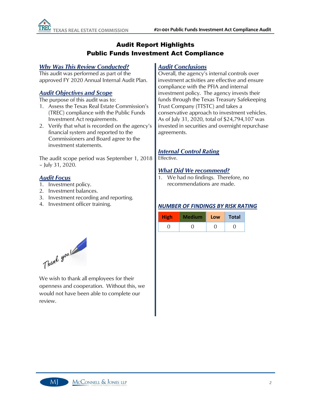#### Audit Report Highlights Public Funds Investment Act Compliance

#### *Why Was This Review Conducted?*

This audit was performed as part of the approved FY 2020 Annual Internal Audit Plan.

#### *Audit Objectives and Scope*

The purpose of this audit was to:

- 1. Assess the Texas Real Estate Commission's (TREC) compliance with the Public Funds Investment Act requirements.
- 2. Verify that what is recorded on the agency's financial system and reported to the Commissioners and Board agree to the investment statements.

The audit scope period was September 1, 2018 – July 31, 2020.

#### *Audit Focus*

- 1. Investment policy.
- 2. Investment balances.
- 3. Investment recording and reporting.
- 4. Investment officer training.

#### *Audit Conclusions*

Overall, the agency's internal controls over investment activities are effective and ensure compliance with the PFIA and internal investment policy. The agency invests their funds through the Texas Treasury Safekeeping Trust Company (TTSTC) and takes a conservative approach to investment vehicles. As of July 31, 2020, total of \$24,794,107 was invested in securities and overnight repurchase agreements.

#### *Internal Control Rating*

Effective.

#### *What Did We recommend?*

1. We had no findings. Therefore, no recommendations are made.

#### *NUMBER OF FINDINGS BY RISK RATING*

| <b>High</b> | Low | <b>Total</b> |
|-------------|-----|--------------|
|             |     |              |



We wish to thank all employees for their openness and cooperation. Without this, we would not have been able to complete our review.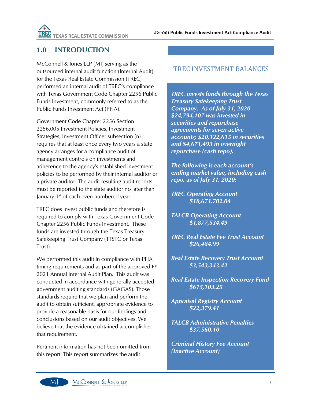

#### <span id="page-4-0"></span>**1.0 INTRODUCTION**

McConnell & Jones LLP (MJ) serving as the outsourced internal audit function (Internal Audit) for the Texas Real Estate Commission (TREC) performed an internal audit of TREC's compliance with Texas Government Code Chapter 2256 Public Funds Investment, commonly referred to as the Public Funds Investment Act (PFIA).

Government Code Chapter 2256 Section 2256.005 Investment Policies, Investment Strategies; Investment Officer subsection (n) requires that at least once every two years a state agency arranges for a compliance audit of management controls on investments and adherence to the agency's established investment policies to be performed by their internal auditor or a private auditor. The audit resulting audit reports must be reported to the state auditor no later than January 1<sup>st</sup> of each even numbered year.

TREC does invest public funds and therefore is required to comply with Texas Government Code Chapter 2256 Public Funds Investment. These funds are invested through the Texas Treasury Safekeeping Trust Company (TTSTC or Texas Trust).

We performed this audit in compliance with PFIA timing requirements and as part of the approved FY 2021 Annual Internal Audit Plan. This audit was conducted in accordance with generally accepted government auditing standards (GAGAS). Those standards require that we plan and perform the audit to obtain sufficient, appropriate evidence to provide a reasonable basis for our findings and conclusions based on our audit objectives. We believe that the evidence obtained accomplishes that requirement.

Pertinent information has not been omitted from this report. This report summarizes the audit

#### TREC INVESTMENT BALANCES

*TREC invests funds through the Texas Treasury Safekeeping Trust Company. As of July 31, 2020 \$24,794,107 was invested in securities and repurchase agreements for seven active accounts; \$20,122,615 in securities and \$4,671,493 in overnight repurchase (cash repo).* 

*The following is each account's ending market value, including cash repo, as of July 31, 2020:*

*TREC Operating Account \$18,671,702.04*

*TALCB Operating Account \$1,877,534.49*

*TREC Real Estate Fee Trust Account \$26,484.99*

*Real Estate Recovery Trust Account \$3,543,343.42*

*Real Estate Inspection Recovery Fund \$615,103.25*

*Appraisal Registry Account \$22,379.41*

*TALCB Administrative Penalties \$37,560.10*

*Criminal History Fee Account (Inactive Account)*

MI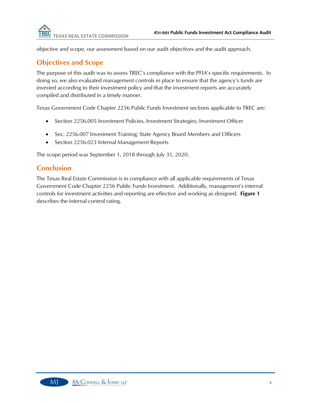objective and scope, our assessment based on our audit objectives and the audit approach.

#### **Objectives and Scope**

The purpose of this audit was to assess TREC's compliance with the PFIA's specific requirements. In doing so, we also evaluated management controls in place to ensure that the agency's funds are invested according to their investment policy and that the investment reports are accurately compiled and distributed in a timely manner.

Texas Government Code Chapter 2256 Public Funds Investment sections applicable to TREC are:

- Section 2256.005 Investment Policies, Investment Strategies; Investment Officer
- Sec. 2256.007 Investment Training; State Agency Board Members and Officers
- Section 2256.023 Internal Management Reports

The scope period was September 1, 2018 through July 31, 2020.

#### **Conclusion**

The Texas Real Estate Commission is in compliance with all applicable requirements of Texas Government Code Chapter 2256 Public Funds Investment. Additionally, management's internal controls for investment activities and reporting are effective and working as designed. **Figure 1** describes the internal control rating.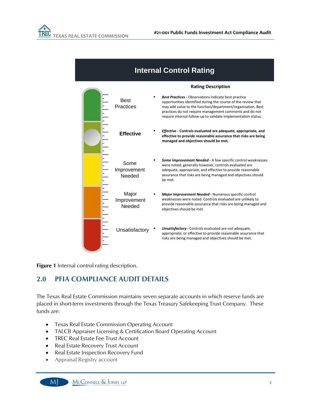| <b>Internal Control Rating</b> |                                |                                                                                                                                                                                                                                                                                                                         |  |
|--------------------------------|--------------------------------|-------------------------------------------------------------------------------------------------------------------------------------------------------------------------------------------------------------------------------------------------------------------------------------------------------------------------|--|
|                                | <b>Rating Description</b>      |                                                                                                                                                                                                                                                                                                                         |  |
|                                | <b>Best</b><br>Practices       | <b>Best Practices</b> - Observations indicate best practice<br>opportunities identified during the course of the review that<br>may add value to the function/department/organization. Best<br>practices do not require management comments and do not<br>require internal follow-up to validate implementation status. |  |
|                                | <b>Effective</b>               | Effective - Controls evaluated are adequate, appropriate, and<br>effective to provide reasonable assurance that risks are being<br>managed and objectives should be met.                                                                                                                                                |  |
|                                | Some<br>Improvement<br>Needed  | <b>Some Improvement Needed - A few specific control weaknesses</b><br>were noted; generally however, controls evaluated are<br>adequate, appropriate, and effective to provide reasonable<br>assurance that risks are being managed and objectives should<br>be met.                                                    |  |
|                                | Major<br>Improvement<br>Needed | Major Improvement Needed - Numerous specific control<br>weaknesses were noted. Controls evaluated are unlikely to<br>provide reasonable assurance that risks are being managed and<br>objectives should be met.                                                                                                         |  |
|                                | Unsatisfactory                 | <b>Unsatisfactory</b> - Controls evaluated are not adequate,<br>appropriate, or effective to provide reasonable assurance that<br>risks are being managed and objectives should be met.                                                                                                                                 |  |

**Figure 1** Internal control rating description.

### <span id="page-6-0"></span>**2.0 PFIA COMPLIANCE AUDIT DETAILS**

The Texas Real Estate Commission maintains seven separate accounts in which reserve funds are placed in short-term investments through the Texas Treasury Safekeeping Trust Company. These funds are:

- Texas Real Estate Commission Operating Account
- TALCB Appraiser Licensing & Certification Board Operating Account
- TREC Real Estate Fee Trust Account
- Real Estate Recovery Trust Account
- Real Estate Inspection Recovery Fund
- Appraisal Registry account

MI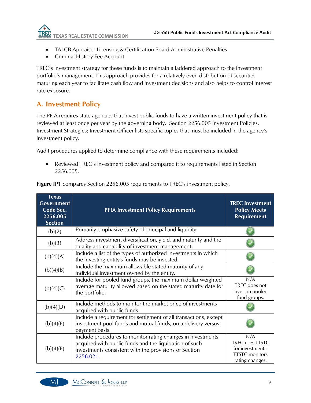

- TALCB Appraiser Licensing & Certification Board Administrative Penalties
- Criminal History Fee Account

TREC's investment strategy for these funds is to maintain a laddered approach to the investment portfolio's management. This approach provides for a relatively even distribution of securities maturing each year to facilitate cash flow and investment decisions and also helps to control interest rate exposure.

#### **A. Investment Policy**

The PFIA requires state agencies that invest public funds to have a written investment policy that is reviewed at least once per year by the governing body. Section 2256.005 Investment Policies, Investment Strategies; Investment Officer lists specific topics that must be included in the agency's investment policy.

Audit procedures applied to determine compliance with these requirements included:

• Reviewed TREC's investment policy and compared it to requirements listed in Section 2256.005.

| <b>Texas</b><br><b>Government</b><br>Code Sec.<br>2256.005<br><b>Section</b> | <b>PFIA Investment Policy Requirements</b>                                                                                                                                                  | <b>TREC Investment</b><br><b>Policy Meets</b><br><b>Requirement</b>                                  |
|------------------------------------------------------------------------------|---------------------------------------------------------------------------------------------------------------------------------------------------------------------------------------------|------------------------------------------------------------------------------------------------------|
| (b)(2)                                                                       | Primarily emphasize safety of principal and liquidity.                                                                                                                                      |                                                                                                      |
| (b)(3)                                                                       | Address investment diversification, yield, and maturity and the<br>quality and capability of investment management.                                                                         |                                                                                                      |
| (b)(4)(A)                                                                    | Include a list of the types of authorized investments in which<br>the investing entity's funds may be invested.                                                                             |                                                                                                      |
| (b)(4)(B)                                                                    | Include the maximum allowable stated maturity of any<br>individual investment owned by the entity.                                                                                          |                                                                                                      |
| (b)(4)(C)                                                                    | Include for pooled fund groups, the maximum dollar weighted<br>average maturity allowed based on the stated maturity date for<br>the portfolio.                                             | N/A<br>TREC does not<br>invest in pooled<br>fund groups.                                             |
| (b)(4)(D)                                                                    | Include methods to monitor the market price of investments<br>acquired with public funds.                                                                                                   |                                                                                                      |
| (b)(4)(E)                                                                    | Include a requirement for settlement of all transactions, except<br>investment pool funds and mutual funds, on a delivery versus<br>payment basis.                                          |                                                                                                      |
| (b)(4)(F)                                                                    | Include procedures to monitor rating changes in investments<br>acquired with public funds and the liquidation of such<br>investments consistent with the provisions of Section<br>2256.021. | N/A<br><b>TREC</b> uses <b>TTSTC</b><br>for investments.<br><b>TTSTC</b> monitors<br>rating changes. |

**Figure IP1** compares Section 2256.005 requirements to TREC's investment policy.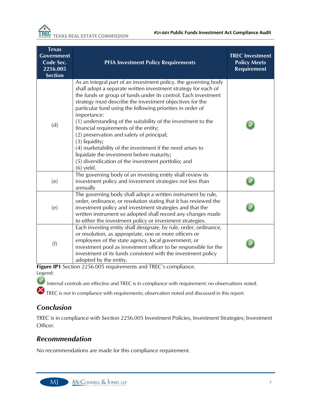| <b>Texas</b><br><b>Government</b><br>Code Sec.<br>2256.005<br><b>Section</b> | <b>PFIA Investment Policy Requirements</b>                                                                                                                                                                                                                                                                                                                                                                                                                                                                                                                                                                                                                                                              | <b>TREC Investment</b><br><b>Policy Meets</b><br><b>Requirement</b> |
|------------------------------------------------------------------------------|---------------------------------------------------------------------------------------------------------------------------------------------------------------------------------------------------------------------------------------------------------------------------------------------------------------------------------------------------------------------------------------------------------------------------------------------------------------------------------------------------------------------------------------------------------------------------------------------------------------------------------------------------------------------------------------------------------|---------------------------------------------------------------------|
| (d)                                                                          | As an integral part of an investment policy, the governing body<br>shall adopt a separate written investment strategy for each of<br>the funds or group of funds under its control. Each investment<br>strategy must describe the investment objectives for the<br>particular fund using the following priorities in order of<br>importance:<br>(1) understanding of the suitability of the investment to the<br>financial requirements of the entity;<br>(2) preservation and safety of principal;<br>(3) liquidity;<br>(4) marketability of the investment if the need arises to<br>liquidate the investment before maturity;<br>(5) diversification of the investment portfolio; and<br>$(6)$ yield. |                                                                     |
| (e)                                                                          | The governing body of an investing entity shall review its<br>investment policy and investment strategies not less than<br>annually                                                                                                                                                                                                                                                                                                                                                                                                                                                                                                                                                                     |                                                                     |
| (e)                                                                          | The governing body shall adopt a written instrument by rule,<br>order, ordinance, or resolution stating that it has reviewed the<br>investment policy and investment strategies and that the<br>written instrument so adopted shall record any changes made<br>to either the investment policy or investment strategies.                                                                                                                                                                                                                                                                                                                                                                                |                                                                     |
| (f)                                                                          | Each investing entity shall designate, by rule, order, ordinance,<br>or resolution, as appropriate, one or more officers or<br>employees of the state agency, local government, or<br>investment pool as investment officer to be responsible for the<br>investment of its funds consistent with the investment policy<br>adopted by the entity.                                                                                                                                                                                                                                                                                                                                                        |                                                                     |

**Figure IP1** Section 2256.005 requirements and TREC's compliance. Legend:

- Internal controls are effective and TREC is in compliance with requirement; no observations noted.
- $\boldsymbol{\kappa}$ TREC is not in compliance with requirements; observation noted and discussed in this report.

#### *Conclusion*

MI

TREC is in compliance with Section 2256.005 Investment Policies, Investment Strategies; Investment Officer.

#### *Recommendation*

No recommendations are made for this compliance requirement.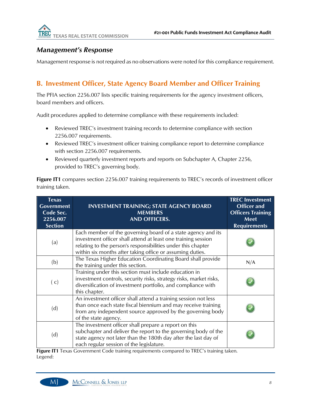#### *Management's Response*

Management response is not required as no observations were noted for this compliance requirement.

#### **B. Investment Officer, State Agency Board Member and Officer Training**

The PFIA section 2256.007 lists specific training requirements for the agency investment officers, board members and officers.

Audit procedures applied to determine compliance with these requirements included:

- Reviewed TREC's investment training records to determine compliance with section 2256.007 requirements.
- Reviewed TREC's investment officer training compliance report to determine compliance with section 2256.007 requirements.
- Reviewed quarterly investment reports and reports on Subchapter A, Chapter 2256, provided to TREC's governing body.

**Figure IT1** compares section 2256.007 training requirements to TREC's records of investment officer training taken.

| <b>Texas</b><br><b>Government</b><br>Code Sec.<br>2256.007<br><b>Section</b> | <b>INVESTMENT TRAINING; STATE AGENCY BOARD</b><br><b>MEMBERS</b><br><b>AND OFFICERS.</b>                                                                                                                                                                   | <b>TREC Investment</b><br><b>Officer and</b><br><b>Officers Training</b><br>Meet<br><b>Requirements</b> |
|------------------------------------------------------------------------------|------------------------------------------------------------------------------------------------------------------------------------------------------------------------------------------------------------------------------------------------------------|---------------------------------------------------------------------------------------------------------|
| (a)                                                                          | Each member of the governing board of a state agency and its<br>investment officer shall attend at least one training session<br>relating to the person's responsibilities under this chapter<br>within six months after taking office or assuming duties. |                                                                                                         |
| (b)                                                                          | The Texas Higher Education Coordinating Board shall provide<br>the training under this section.                                                                                                                                                            | N/A                                                                                                     |
| (c)                                                                          | Training under this section must include education in<br>investment controls, security risks, strategy risks, market risks,<br>diversification of investment portfolio, and compliance with<br>this chapter.                                               |                                                                                                         |
| (d)                                                                          | An investment officer shall attend a training session not less<br>than once each state fiscal biennium and may receive training<br>from any independent source approved by the governing body<br>of the state agency.                                      |                                                                                                         |
| (d)                                                                          | The investment officer shall prepare a report on this<br>subchapter and deliver the report to the governing body of the<br>state agency not later than the 180th day after the last day of<br>each regular session of the legislature.                     |                                                                                                         |

**Figure IT1** Texas Government Code training requirements compared to TREC's training taken. Legend:

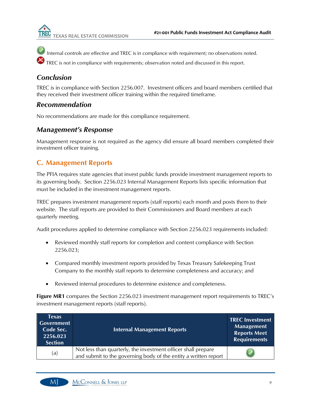

Internal controls are effective and TREC is in compliance with requirement; no observations noted.

TREC is not in compliance with requirements; observation noted and discussed in this report.

#### *Conclusion*

TREC is in compliance with Section 2256.007. Investment officers and board members certified that they received their investment officer training within the required timeframe.

#### *Recommendation*

No recommendations are made for this compliance requirement.

#### *Management's Response*

Management response is not required as the agency did ensure all board members completed their investment officer training.

#### **C. Management Reports**

The PFIA requires state agencies that invest public funds provide investment management reports to its governing body. Section 2256.023 Internal Management Reports lists specific information that must be included in the investment management reports.

TREC prepares investment management reports (staff reports) each month and posts them to their website. The staff reports are provided to their Commissioners and Board members at each quarterly meeting.

Audit procedures applied to determine compliance with Section 2256.023 requirements included:

- Reviewed monthly staff reports for completion and content compliance with Section 2256.023;
- Compared monthly investment reports provided by Texas Treasury Safekeeping Trust Company to the monthly staff reports to determine completeness and accuracy; and
- Reviewed internal procedures to determine existence and completeness.

**Figure MR1** compares the Section 2256.023 investment management report requirements to TREC's investment management reports (staff reports).

| <b>Texas</b><br>Government<br>Code Sec.<br>2256.023<br><b>Section</b> | <b>Internal Management Reports</b>                                                                                               | <b>TREC Investment</b><br><b>Management</b><br><b>Reports Meet</b><br><b>Requirements</b> |
|-----------------------------------------------------------------------|----------------------------------------------------------------------------------------------------------------------------------|-------------------------------------------------------------------------------------------|
| (a)                                                                   | Not less than quarterly, the investment officer shall prepare<br>and submit to the governing body of the entity a written report |                                                                                           |

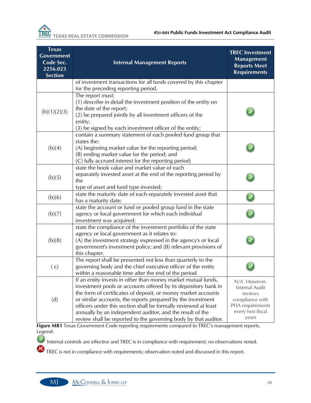| <b>Texas</b><br>Government<br>Code Sec.<br>2256.023<br><b>Section</b> | <b>Internal Management Reports</b>                                                                                                                                                                                                                                                                                                                                                                                                                                 | <b>TREC Investment</b><br><b>Management</b><br><b>Reports Meet</b><br><b>Requirements</b>                      |
|-----------------------------------------------------------------------|--------------------------------------------------------------------------------------------------------------------------------------------------------------------------------------------------------------------------------------------------------------------------------------------------------------------------------------------------------------------------------------------------------------------------------------------------------------------|----------------------------------------------------------------------------------------------------------------|
|                                                                       | of investment transactions for all funds covered by this chapter<br>for the preceding reporting period.                                                                                                                                                                                                                                                                                                                                                            |                                                                                                                |
| (b)(1)(2)(3)                                                          | The report must:<br>(1) describe in detail the investment position of the entity on<br>the date of the report;<br>(2) be prepared jointly by all investment officers of the<br>entity;<br>(3) be signed by each investment officer of the entity;                                                                                                                                                                                                                  |                                                                                                                |
| (b)(4)                                                                | contain a summary statement of each pooled fund group that<br>states the:<br>(A) beginning market value for the reporting period;<br>(B) ending market value for the period; and<br>(C) fully accrued interest for the reporting period;                                                                                                                                                                                                                           |                                                                                                                |
| (b)(5)                                                                | state the book value and market value of each<br>separately invested asset at the end of the reporting period by<br>the<br>type of asset and fund type invested;                                                                                                                                                                                                                                                                                                   |                                                                                                                |
| (b)(6)                                                                | state the maturity date of each separately invested asset that<br>has a maturity date;                                                                                                                                                                                                                                                                                                                                                                             |                                                                                                                |
| (b)(7)                                                                | state the account or fund or pooled group fund in the state<br>agency or local government for which each individual<br>investment was acquired;                                                                                                                                                                                                                                                                                                                    |                                                                                                                |
| (b)(8)                                                                | state the compliance of the investment portfolio of the state<br>agency or local government as it relates to:<br>(A) the investment strategy expressed in the agency's or local<br>government's investment policy; and (B) relevant provisions of<br>this chapter.                                                                                                                                                                                                 |                                                                                                                |
| (c)                                                                   | The report shall be presented not less than quarterly to the<br>governing body and the chief executive officer of the entity<br>within a reasonable time after the end of the period.                                                                                                                                                                                                                                                                              |                                                                                                                |
| (d)                                                                   | If an entity invests in other than money market mutual funds,<br>investment pools or accounts offered by its depository bank in<br>the form of certificates of deposit, or money market accounts<br>or similar accounts, the reports prepared by the investment<br>officers under this section shall be formally reviewed at least<br>annually by an independent auditor, and the result of the<br>review shall be reported to the governing body by that auditor. | N/A However,<br>Internal Audit<br>reviews<br>compliance with<br>PFIA requirements<br>every two fiscal<br>years |

**Figure MR1** Texas Government Code reporting requirements compared to TREC's management reports. Legend:

Internal controls are effective and TREC is in compliance with requirement; no observations noted.

**X** TREC is not in compliance with requirements; observation noted and discussed in this report.

Q

 $M$